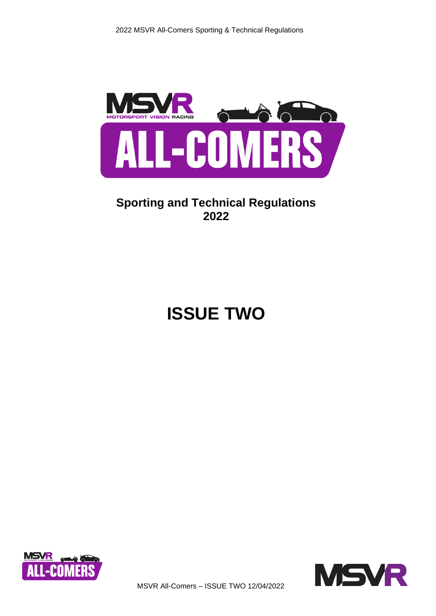

# **Sporting and Technical Regulations 2022**

# **ISSUE TWO**





MSVR All-Comers – ISSUE TWO 12/04/2022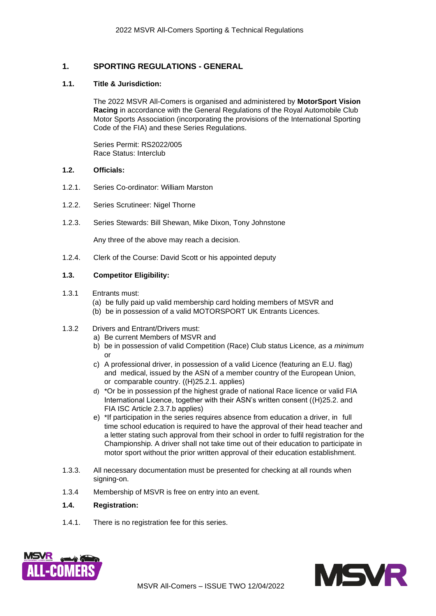# **1. SPORTING REGULATIONS - GENERAL**

# **1.1. Title & Jurisdiction:**

The 2022 MSVR All-Comers is organised and administered by **MotorSport Vision Racing** in accordance with the General Regulations of the Royal Automobile Club Motor Sports Association (incorporating the provisions of the International Sporting Code of the FIA) and these Series Regulations.

Series Permit: RS2022/005 Race Status: Interclub

# **1.2. Officials:**

- 1.2.1. Series Co-ordinator: William Marston
- 1.2.2. Series Scrutineer: Nigel Thorne
- 1.2.3. Series Stewards: Bill Shewan, Mike Dixon, Tony Johnstone

Any three of the above may reach a decision.

1.2.4. Clerk of the Course: David Scott or his appointed deputy

# **1.3. Competitor Eligibility:**

- 1.3.1 Entrants must:
	- (a) be fully paid up valid membership card holding members of MSVR and
	- (b) be in possession of a valid MOTORSPORT UK Entrants Licences.

# 1.3.2 Drivers and Entrant/Drivers must:

- a) Be current Members of MSVR and
- b) be in possession of valid Competition (Race) Club status Licence*, as a minimum*  or
- c) A professional driver, in possession of a valid Licence (featuring an E.U. flag) and medical, issued by the ASN of a member country of the European Union, or comparable country. ((H)25.2.1. applies)
- d) \*Or be in possession pf the highest grade of national Race licence or valid FIA International Licence, together with their ASN's written consent ((H)25.2. and FIA ISC Article 2.3.7.b applies)
- e) \*If participation in the series requires absence from education a driver, in full time school education is required to have the approval of their head teacher and a letter stating such approval from their school in order to fulfil registration for the Championship. A driver shall not take time out of their education to participate in motor sport without the prior written approval of their education establishment.
- 1.3.3. All necessary documentation must be presented for checking at all rounds when signing-on.
- 1.3.4 Membership of MSVR is free on entry into an event.

# **1.4. Registration:**

1.4.1. There is no registration fee for this series.



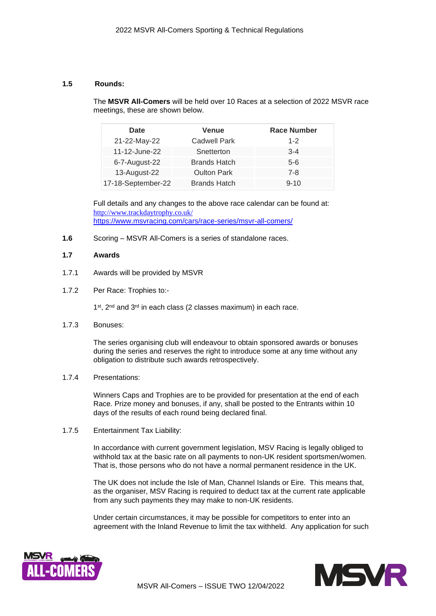# **1.5 Rounds:**

The **MSVR All-Comers** will be held over 10 Races at a selection of 2022 MSVR race meetings, these are shown below.

| Date               | <b>Venue</b>        | <b>Race Number</b> |
|--------------------|---------------------|--------------------|
| 21-22-May-22       | <b>Cadwell Park</b> | $1 - 2$            |
| 11-12-June-22      | Snetterton          | $3 - 4$            |
| 6-7-August-22      | <b>Brands Hatch</b> | $5-6$              |
| 13-August-22       | <b>Oulton Park</b>  | $7 - 8$            |
| 17-18-September-22 | <b>Brands Hatch</b> | $9 - 10$           |

Full details and any changes to the above race calendar can be found at: <http://www.trackdaytrophy.co.uk/> <https://www.msvracing.com/cars/race-series/msvr-all-comers/>

**1.6** Scoring – MSVR All-Comers is a series of standalone races.

# **1.7 Awards**

- 1.7.1 Awards will be provided by MSVR
- 1.7.2 Per Race: Trophies to:-

1<sup>st</sup>, 2<sup>nd</sup> and 3<sup>rd</sup> in each class (2 classes maximum) in each race.

1.7.3 Bonuses:

The series organising club will endeavour to obtain sponsored awards or bonuses during the series and reserves the right to introduce some at any time without any obligation to distribute such awards retrospectively.

1.7.4 Presentations:

Winners Caps and Trophies are to be provided for presentation at the end of each Race. Prize money and bonuses, if any, shall be posted to the Entrants within 10 days of the results of each round being declared final.

1.7.5 Entertainment Tax Liability:

In accordance with current government legislation, MSV Racing is legally obliged to withhold tax at the basic rate on all payments to non-UK resident sportsmen/women. That is, those persons who do not have a normal permanent residence in the UK.

The UK does not include the Isle of Man, Channel Islands or Eire. This means that, as the organiser, MSV Racing is required to deduct tax at the current rate applicable from any such payments they may make to non-UK residents.

Under certain circumstances, it may be possible for competitors to enter into an agreement with the Inland Revenue to limit the tax withheld. Any application for such



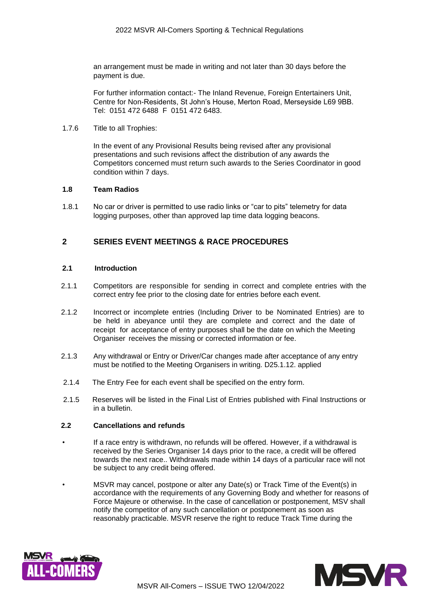an arrangement must be made in writing and not later than 30 days before the payment is due.

For further information contact:- The Inland Revenue, Foreign Entertainers Unit, Centre for Non-Residents, St John's House, Merton Road, Merseyside L69 9BB. Tel: 0151 472 6488 F 0151 472 6483.

#### 1.7.6 Title to all Trophies:

In the event of any Provisional Results being revised after any provisional presentations and such revisions affect the distribution of any awards the Competitors concerned must return such awards to the Series Coordinator in good condition within 7 days.

# **1.8 Team Radios**

1.8.1 No car or driver is permitted to use radio links or "car to pits" telemetry for data logging purposes, other than approved lap time data logging beacons.

# **2 SERIES EVENT MEETINGS & RACE PROCEDURES**

# **2.1 Introduction**

- 2.1.1 Competitors are responsible for sending in correct and complete entries with the correct entry fee prior to the closing date for entries before each event.
- 2.1.2 Incorrect or incomplete entries (Including Driver to be Nominated Entries) are to be held in abeyance until they are complete and correct and the date of receipt for acceptance of entry purposes shall be the date on which the Meeting Organiser receives the missing or corrected information or fee.
- 2.1.3 Any withdrawal or Entry or Driver/Car changes made after acceptance of any entry must be notified to the Meeting Organisers in writing. D25.1.12. applied
- 2.1.4 The Entry Fee for each event shall be specified on the entry form.
- 2.1.5 Reserves will be listed in the Final List of Entries published with Final Instructions or in a bulletin.

# **2.2 Cancellations and refunds**

- If a race entry is withdrawn, no refunds will be offered. However, if a withdrawal is received by the Series Organiser 14 days prior to the race, a credit will be offered towards the next race.. Withdrawals made within 14 days of a particular race will not be subject to any credit being offered.
- MSVR may cancel, postpone or alter any Date(s) or Track Time of the Event(s) in accordance with the requirements of any Governing Body and whether for reasons of Force Majeure or otherwise. In the case of cancellation or postponement, MSV shall notify the competitor of any such cancellation or postponement as soon as reasonably practicable. MSVR reserve the right to reduce Track Time during the



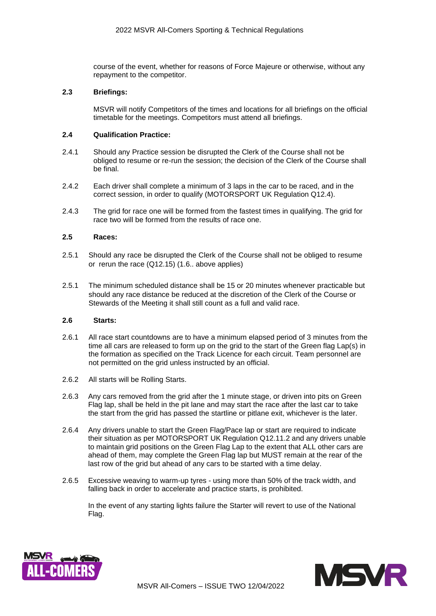course of the event, whether for reasons of Force Majeure or otherwise, without any repayment to the competitor.

# **2.3 Briefings:**

MSVR will notify Competitors of the times and locations for all briefings on the official timetable for the meetings. Competitors must attend all briefings.

# **2.4 Qualification Practice:**

- 2.4.1 Should any Practice session be disrupted the Clerk of the Course shall not be obliged to resume or re-run the session; the decision of the Clerk of the Course shall be final.
- 2.4.2 Each driver shall complete a minimum of 3 laps in the car to be raced, and in the correct session, in order to qualify (MOTORSPORT UK Regulation Q12.4).
- 2.4.3 The grid for race one will be formed from the fastest times in qualifying. The grid for race two will be formed from the results of race one.

# **2.5 Races:**

- 2.5.1 Should any race be disrupted the Clerk of the Course shall not be obliged to resume or rerun the race (Q12.15) (1.6.. above applies)
- 2.5.1 The minimum scheduled distance shall be 15 or 20 minutes whenever practicable but should any race distance be reduced at the discretion of the Clerk of the Course or Stewards of the Meeting it shall still count as a full and valid race.

# **2.6 Starts:**

- 2.6.1 All race start countdowns are to have a minimum elapsed period of 3 minutes from the time all cars are released to form up on the grid to the start of the Green flag Lap(s) in the formation as specified on the Track Licence for each circuit. Team personnel are not permitted on the grid unless instructed by an official.
- 2.6.2 All starts will be Rolling Starts.
- 2.6.3 Any cars removed from the grid after the 1 minute stage, or driven into pits on Green Flag lap, shall be held in the pit lane and may start the race after the last car to take the start from the grid has passed the startline or pitlane exit, whichever is the later.
- 2.6.4 Any drivers unable to start the Green Flag/Pace lap or start are required to indicate their situation as per MOTORSPORT UK Regulation Q12.11.2 and any drivers unable to maintain grid positions on the Green Flag Lap to the extent that ALL other cars are ahead of them, may complete the Green Flag lap but MUST remain at the rear of the last row of the grid but ahead of any cars to be started with a time delay.
- 2.6.5 Excessive weaving to warm-up tyres using more than 50% of the track width, and falling back in order to accelerate and practice starts, is prohibited.

In the event of any starting lights failure the Starter will revert to use of the National Flag.



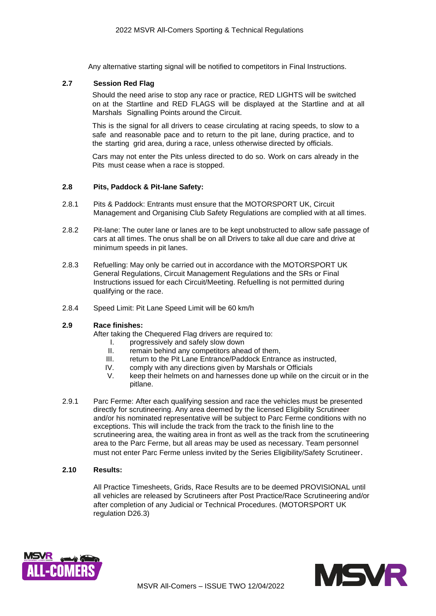Any alternative starting signal will be notified to competitors in Final Instructions.

# **2.7 Session Red Flag**

Should the need arise to stop any race or practice, RED LIGHTS will be switched on at the Startline and RED FLAGS will be displayed at the Startline and at all Marshals Signalling Points around the Circuit.

This is the signal for all drivers to cease circulating at racing speeds, to slow to a safe and reasonable pace and to return to the pit lane, during practice, and to the starting grid area, during a race, unless otherwise directed by officials.

Cars may not enter the Pits unless directed to do so. Work on cars already in the Pits must cease when a race is stopped.

# **2.8 Pits, Paddock & Pit-lane Safety:**

- 2.8.1 Pits & Paddock: Entrants must ensure that the MOTORSPORT UK, Circuit Management and Organising Club Safety Regulations are complied with at all times.
- 2.8.2 Pit-lane: The outer lane or lanes are to be kept unobstructed to allow safe passage of cars at all times. The onus shall be on all Drivers to take all due care and drive at minimum speeds in pit lanes.
- 2.8.3 Refuelling: May only be carried out in accordance with the MOTORSPORT UK General Regulations, Circuit Management Regulations and the SRs or Final Instructions issued for each Circuit/Meeting. Refuelling is not permitted during qualifying or the race.
- 2.8.4 Speed Limit: Pit Lane Speed Limit will be 60 km/h

# **2.9 Race finishes:**

After taking the Chequered Flag drivers are required to:

- I. progressively and safely slow down
- II. remain behind any competitors ahead of them,
- III. return to the Pit Lane Entrance/Paddock Entrance as instructed,
- IV. comply with any directions given by Marshals or Officials
- V. keep their helmets on and harnesses done up while on the circuit or in the pitlane.
- 2.9.1 Parc Ferme: After each qualifying session and race the vehicles must be presented directly for scrutineering. Any area deemed by the licensed Eligibility Scrutineer and/or his nominated representative will be subject to Parc Ferme conditions with no exceptions. This will include the track from the track to the finish line to the scrutineering area, the waiting area in front as well as the track from the scrutineering area to the Parc Ferme, but all areas may be used as necessary. Team personnel must not enter Parc Ferme unless invited by the Series Eligibility/Safety Scrutineer.

# **2.10 Results:**

All Practice Timesheets, Grids, Race Results are to be deemed PROVISIONAL until all vehicles are released by Scrutineers after Post Practice/Race Scrutineering and/or after completion of any Judicial or Technical Procedures. (MOTORSPORT UK regulation D26.3)



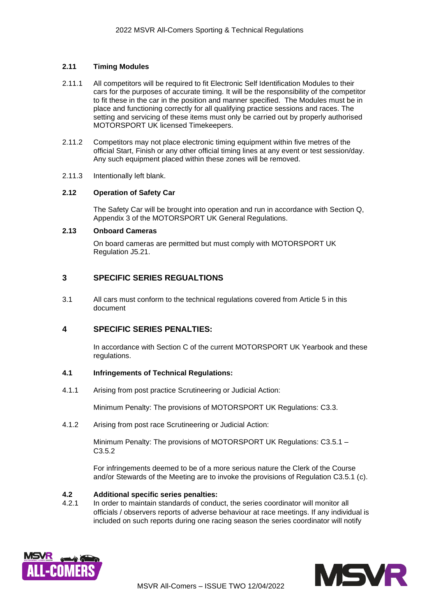# **2.11 Timing Modules**

- 2.11.1 All competitors will be required to fit Electronic Self Identification Modules to their cars for the purposes of accurate timing. It will be the responsibility of the competitor to fit these in the car in the position and manner specified. The Modules must be in place and functioning correctly for all qualifying practice sessions and races. The setting and servicing of these items must only be carried out by properly authorised MOTORSPORT UK licensed Timekeepers.
- 2.11.2 Competitors may not place electronic timing equipment within five metres of the official Start, Finish or any other official timing lines at any event or test session/day. Any such equipment placed within these zones will be removed.
- 2.11.3 Intentionally left blank.

#### **2.12 Operation of Safety Car**

The Safety Car will be brought into operation and run in accordance with Section Q, Appendix 3 of the MOTORSPORT UK General Regulations.

#### **2.13 Onboard Cameras**

On board cameras are permitted but must comply with MOTORSPORT UK Regulation J5.21.

# **3 SPECIFIC SERIES REGUALTIONS**

3.1 All cars must conform to the technical regulations covered from Article 5 in this document

# **4 SPECIFIC SERIES PENALTIES:**

In accordance with Section C of the current MOTORSPORT UK Yearbook and these regulations.

# **4.1 Infringements of Technical Regulations:**

4.1.1 Arising from post practice Scrutineering or Judicial Action:

Minimum Penalty: The provisions of MOTORSPORT UK Regulations: C3.3.

4.1.2 Arising from post race Scrutineering or Judicial Action:

Minimum Penalty: The provisions of MOTORSPORT UK Regulations: C3.5.1 – C3.5.2

For infringements deemed to be of a more serious nature the Clerk of the Course and/or Stewards of the Meeting are to invoke the provisions of Regulation C3.5.1 (c).

#### **4.2 Additional specific series penalties:**

4.2.1 In order to maintain standards of conduct, the series coordinator will monitor all officials / observers reports of adverse behaviour at race meetings. If any individual is included on such reports during one racing season the series coordinator will notify



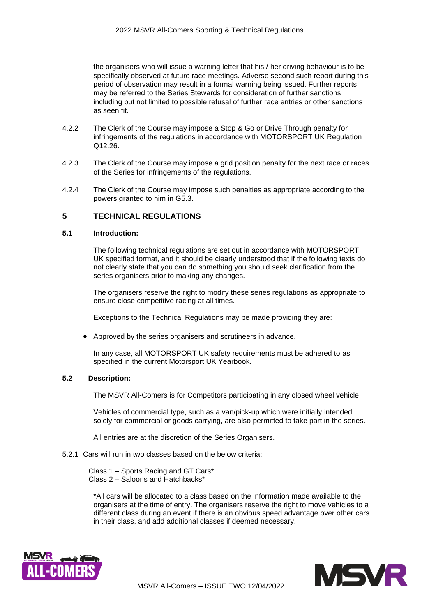the organisers who will issue a warning letter that his / her driving behaviour is to be specifically observed at future race meetings. Adverse second such report during this period of observation may result in a formal warning being issued. Further reports may be referred to the Series Stewards for consideration of further sanctions including but not limited to possible refusal of further race entries or other sanctions as seen fit.

- 4.2.2 The Clerk of the Course may impose a Stop & Go or Drive Through penalty for infringements of the regulations in accordance with MOTORSPORT UK Regulation Q12.26.
- 4.2.3 The Clerk of the Course may impose a grid position penalty for the next race or races of the Series for infringements of the regulations.
- 4.2.4 The Clerk of the Course may impose such penalties as appropriate according to the powers granted to him in G5.3.

# **5 TECHNICAL REGULATIONS**

# **5.1 Introduction:**

The following technical regulations are set out in accordance with MOTORSPORT UK specified format, and it should be clearly understood that if the following texts do not clearly state that you can do something you should seek clarification from the series organisers prior to making any changes.

The organisers reserve the right to modify these series regulations as appropriate to ensure close competitive racing at all times.

Exceptions to the Technical Regulations may be made providing they are:

• Approved by the series organisers and scrutineers in advance.

In any case, all MOTORSPORT UK safety requirements must be adhered to as specified in the current Motorsport UK Yearbook.

# **5.2 Description:**

The MSVR All-Comers is for Competitors participating in any closed wheel vehicle.

Vehicles of commercial type, such as a van/pick-up which were initially intended solely for commercial or goods carrying, are also permitted to take part in the series.

All entries are at the discretion of the Series Organisers.

5.2.1 Cars will run in two classes based on the below criteria:

Class 1 – Sports Racing and GT Cars\* Class 2 – Saloons and Hatchbacks\*

\*All cars will be allocated to a class based on the information made available to the organisers at the time of entry. The organisers reserve the right to move vehicles to a different class during an event if there is an obvious speed advantage over other cars in their class, and add additional classes if deemed necessary.



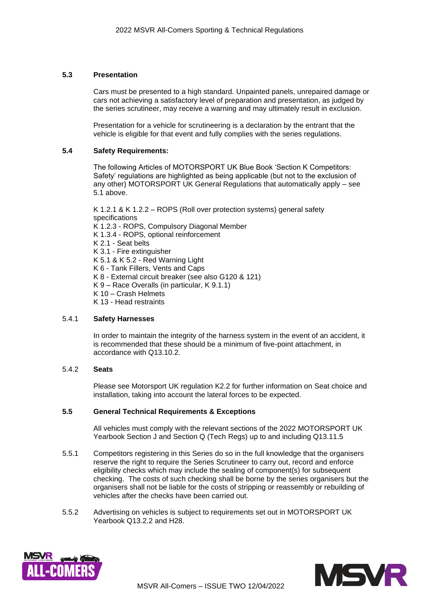# **5.3 Presentation**

Cars must be presented to a high standard. Unpainted panels, unrepaired damage or cars not achieving a satisfactory level of preparation and presentation, as judged by the series scrutineer, may receive a warning and may ultimately result in exclusion.

Presentation for a vehicle for scrutineering is a declaration by the entrant that the vehicle is eligible for that event and fully complies with the series regulations.

# **5.4 Safety Requirements:**

The following Articles of MOTORSPORT UK Blue Book 'Section K Competitors: Safety' regulations are highlighted as being applicable (but not to the exclusion of any other) MOTORSPORT UK General Regulations that automatically apply – see 5.1 above.

K 1.2.1 & K 1.2.2 – ROPS (Roll over protection systems) general safety specifications K 1.2.3 - ROPS, Compulsory Diagonal Member K 1.3.4 - ROPS, optional reinforcement K 2.1 - Seat belts K 3.1 - Fire extinguisher K 5.1 & K 5.2 - Red Warning Light K 6 - Tank Fillers, Vents and Caps K 8 - External circuit breaker (see also G120 & 121) K 9 – Race Overalls (in particular, K 9.1.1) K 10 – Crash Helmets K 13 - Head restraints

# 5.4.1 **Safety Harnesses**

In order to maintain the integrity of the harness system in the event of an accident, it is recommended that these should be a minimum of five-point attachment, in accordance with Q13.10.2.

# 5.4.2 **Seats**

Please see Motorsport UK regulation K2.2 for further information on Seat choice and installation, taking into account the lateral forces to be expected.

# **5.5 General Technical Requirements & Exceptions**

All vehicles must comply with the relevant sections of the 2022 MOTORSPORT UK Yearbook Section J and Section Q (Tech Regs) up to and including Q13.11.5

- 5.5.1 Competitors registering in this Series do so in the full knowledge that the organisers reserve the right to require the Series Scrutineer to carry out, record and enforce eligibility checks which may include the sealing of component(s) for subsequent checking. The costs of such checking shall be borne by the series organisers but the organisers shall not be liable for the costs of stripping or reassembly or rebuilding of vehicles after the checks have been carried out.
- 5.5.2 Advertising on vehicles is subject to requirements set out in MOTORSPORT UK Yearbook Q13.2.2 and H28.



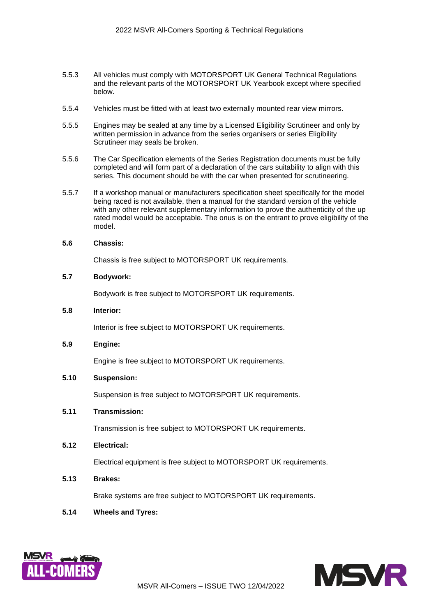- 5.5.3 All vehicles must comply with MOTORSPORT UK General Technical Regulations and the relevant parts of the MOTORSPORT UK Yearbook except where specified below.
- 5.5.4 Vehicles must be fitted with at least two externally mounted rear view mirrors.
- 5.5.5 Engines may be sealed at any time by a Licensed Eligibility Scrutineer and only by written permission in advance from the series organisers or series Eligibility Scrutineer may seals be broken.
- 5.5.6 The Car Specification elements of the Series Registration documents must be fully completed and will form part of a declaration of the cars suitability to align with this series. This document should be with the car when presented for scrutineering.
- 5.5.7 If a workshop manual or manufacturers specification sheet specifically for the model being raced is not available, then a manual for the standard version of the vehicle with any other relevant supplementary information to prove the authenticity of the up rated model would be acceptable. The onus is on the entrant to prove eligibility of the model.

#### **5.6 Chassis:**

Chassis is free subject to MOTORSPORT UK requirements.

#### **5.7 Bodywork:**

Bodywork is free subject to MOTORSPORT UK requirements.

# **5.8 Interior:**

Interior is free subject to MOTORSPORT UK requirements.

#### **5.9 Engine:**

Engine is free subject to MOTORSPORT UK requirements.

#### **5.10 Suspension:**

Suspension is free subject to MOTORSPORT UK requirements.

# **5.11 Transmission:**

Transmission is free subject to MOTORSPORT UK requirements.

# **5.12 Electrical:**

Electrical equipment is free subject to MOTORSPORT UK requirements.

# **5.13 Brakes:**

Brake systems are free subject to MOTORSPORT UK requirements.

# **5.14 Wheels and Tyres:**



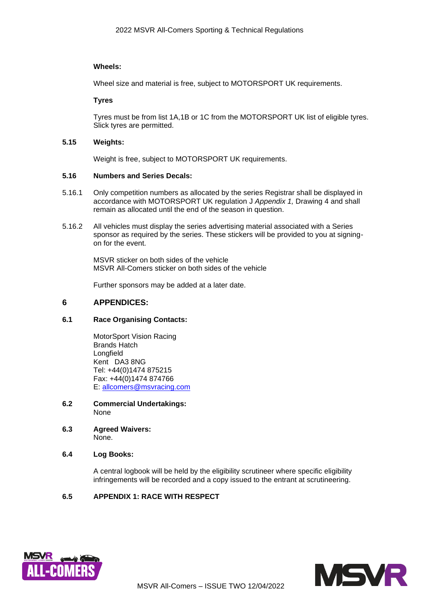# **Wheels:**

Wheel size and material is free, subject to MOTORSPORT UK requirements.

# **Tyres**

Tyres must be from list 1A,1B or 1C from the MOTORSPORT UK list of eligible tyres. Slick tyres are permitted.

# **5.15 Weights:**

Weight is free, subject to MOTORSPORT UK requirements.

# **5.16 Numbers and Series Decals:**

- 5.16.1 Only competition numbers as allocated by the series Registrar shall be displayed in accordance with MOTORSPORT UK regulation J *Appendix 1,* Drawing 4 and shall remain as allocated until the end of the season in question.
- 5.16.2 All vehicles must display the series advertising material associated with a Series sponsor as required by the series. These stickers will be provided to you at signingon for the event.

MSVR sticker on both sides of the vehicle MSVR All-Comers sticker on both sides of the vehicle

Further sponsors may be added at a later date.

# **6 APPENDICES:**

# **6.1 Race Organising Contacts:**

MotorSport Vision Racing Brands Hatch Longfield Kent DA3 8NG Tel: +44(0)1474 875215 Fax: +44(0)1474 874766 E: [allcomers@msvracing.com](mailto:allcomers@msvracing.com)

- **6.2 Commercial Undertakings:** None
- **6.3 Agreed Waivers:** None.

# **6.4 Log Books:**

A central logbook will be held by the eligibility scrutineer where specific eligibility infringements will be recorded and a copy issued to the entrant at scrutineering.

# **6.5 APPENDIX 1: RACE WITH RESPECT**